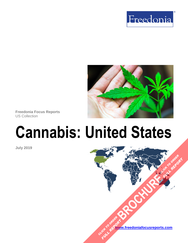



**Freedonia Focus Reports** US Collection

# **Cannabis: United States**

**July 2019**

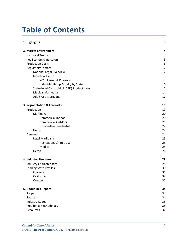# **Table of Contents**

| 1. Highlights                              | 3  |
|--------------------------------------------|----|
| 2. Market Environment                      | 4  |
| <b>Historical Trends</b>                   | 4  |
| Key Economic Indicators                    | 5  |
| <b>Production Costs</b>                    | 6  |
| <b>Regulatory Factors</b>                  | 7  |
| National Legal Overview                    | 7  |
| <b>Industrial Hemp</b>                     | 9  |
| 2018 Farm Bill Provisions                  | 9  |
| Industrial Hemp Activity by State          | 10 |
| State-Level Cannabidiol (CBD) Product Laws | 12 |
| Medical Marijuana                          | 14 |
| Adult-Use Marijuana                        | 17 |
| 3. Segmentation & Forecasts                | 19 |
| Production                                 | 19 |
| Marijuana                                  | 20 |
| <b>Commercial Indoor</b>                   | 20 |
| <b>Commercial Outdoor</b>                  | 21 |
| Private-Use Residential                    | 22 |
| Hemp                                       | 22 |
| Demand                                     | 24 |
| Legal Marijuana                            | 25 |
| Recreational/Adult-Use                     | 25 |
| Medical                                    | 25 |
| Hemp                                       | 26 |
| 4. Industry Structure                      | 28 |
| <b>Industry Characteristics</b>            | 28 |
| Leading State Profiles                     | 30 |
| Colorado                                   | 31 |
| California                                 | 32 |
| Oregon                                     | 32 |
| 5. About This Report                       | 34 |
| Scope                                      | 34 |
| Sources                                    | 34 |
| <b>Industry Codes</b>                      | 35 |
| Freedonia Methodology                      | 35 |
| Resources                                  | 37 |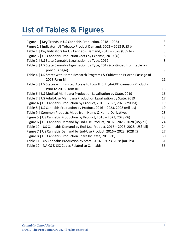# **List of Tables & Figures**

| Figure 1   Key Trends in US Cannabis Production, 2018 - 2023                      | 3  |
|-----------------------------------------------------------------------------------|----|
| Figure 2   Indicator: US Tobacco Product Demand, 2008 - 2018 (US\$ bil)           | 4  |
| Table 1   Key Indicators for US Cannabis Demand, 2013 - 2028 (US\$ bil)           | 5  |
| Figure 3   US Cannabis Production Costs by Expense, 2019 (%)                      | 6  |
| Table 2   US State Cannabis Legalization by Type, 2019                            | 8  |
| Table 3   US State Cannabis Legalization by Type, 2019 (continued from table on   |    |
| previous page)                                                                    | 9  |
| Table 4   US States with Hemp Research Programs & Cultivation Prior to Passage of |    |
| 2018 Farm Bill                                                                    | 11 |
| Table 5   US States with Limited Access to Low-THC, High-CBD Cannabis Products    |    |
| Prior to 2018 Farm Bill                                                           | 13 |
| Table 6   US Medical Marijuana Production Legalization by State, 2019             | 16 |
| Table 7   US Adult-Use Marijuana Production Legalization by State, 2019           | 17 |
| Figure 4   US Cannabis Production by Product, 2016 - 2023, 2028 (mil lbs)         | 19 |
| Table 8   US Cannabis Production by Product, 2016 - 2023, 2028 (mil lbs)          | 19 |
| Table 9   Common Products Made from Hemp & Hemp-Derivatives                       | 23 |
| Figure 5   US Cannabis Production by Product, 2016 - 2023, 2028 (%)               | 23 |
| Figure 6   US Cannabis Demand by End-Use Product, 2016 - 2023, 2028 (US\$ bil)    | 24 |
| Table 10   US Cannabis Demand by End-Use Product, 2016 - 2023, 2028 (US\$ bil)    | 24 |
| Figure 7   US Cannabis Demand by End-Use Product, 2016 - 2023, 2028 (%)           | 27 |
| Figure 8   US Cannabis Production Share by State, 2018 (%)                        | 30 |
| Table 11   US Cannabis Production by State, 2016 - 2023, 2028 (mil lbs)           | 31 |
| Table 12   NAICS & SIC Codes Related to Cannabis                                  | 35 |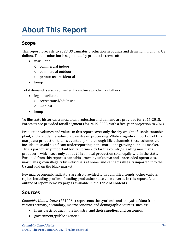# <span id="page-3-1"></span><span id="page-3-0"></span>**Scope**

This report forecasts to 2028 US cannabis production in pounds and demand in nominal US dollars. Total production is segmented by product in terms of:

- marijuana
	- o commercial indoor
	- o commercial outdoor
	- o private-use residential
- hemp

Total demand is also segmented by end-use product as follows:

- legal marijuana
	- o recreational/adult-use
	- o medical
- hemp

To illustrate historical trends, total production and demand are provided for 2016-2018. Forecasts are provided for all segments for 2019-2023, with a five-year projection to 2028.

Production volumes and values in this report cover only the dry weight of usable cannabis plant, and exclude the value of downstream processing. While a significant portion of this marijuana production total is eventually sold through illicit channels, these volumes are included to avoid significant underreporting in the marijuana growing supplies market. This is particularly important for California – by far the country's leading marijuana producer – which sees only about 20% of local production sold legally within the state. Excluded from this report is cannabis grown by unknown and unrecorded operations, marijuana grown illegally by individuals at home, and cannabis illegally imported into the US and sold on the black market.

Key macroeconomic indicators are also provided with quantified trends. Other various topics, including profiles of leading production states, are covered in this report. A full outline of report items by page is available in the Table of Contents.

# <span id="page-3-2"></span>**Sources**

*Cannabis: United States* (FF10064) represents the synthesis and analysis of data from various primary, secondary, macroeconomic, and demographic sources, such as:

- firms participating in the industry, and their suppliers and customers
- government/public agencies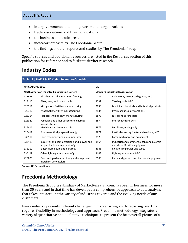- intergovernmental and non-governmental organizations
- trade associations and their publications
- the business and trade press
- indicator forecasts by The Freedonia Group
- the findings of other reports and studies by The Freedonia Group

Specific sources and additional resources are listed in the Resources section of this publication for reference and to facilitate further research.

## <span id="page-4-0"></span>**Industry Codes**

<span id="page-4-2"></span>

| Table 12   NAICS & SIC Codes Related to Cannabis                         |                                                                                |                                           |                                                                              |  |
|--------------------------------------------------------------------------|--------------------------------------------------------------------------------|-------------------------------------------|------------------------------------------------------------------------------|--|
| <b>NAICS/SCIAN 2017</b><br>North American Industry Classification System |                                                                                | <b>SIC</b>                                |                                                                              |  |
|                                                                          |                                                                                | <b>Standard Industrial Classification</b> |                                                                              |  |
| 111998                                                                   | All other miscellaneous crop farming                                           | 0139                                      | Field crops, except cash grains, NEC                                         |  |
| 313110                                                                   | Fiber, yarn, and thread mills                                                  | 2299                                      | Textile goods, NEC                                                           |  |
| 325311                                                                   | Nitrogenous fertilizer manufacturing                                           | 2833                                      | Medicinal chemicals and botanical products                                   |  |
| 325312                                                                   | Phosphatic fertilizer manufacturing                                            | 2834                                      | Pharmaceutical preparations                                                  |  |
| 325314                                                                   | Fertilizer (mixing only) manufacturing                                         | 2873                                      | Nitrogenous fertilizers                                                      |  |
| 325320                                                                   | Pesticide and other agricultural chemical<br>manufacturing                     | 2874                                      | Phosphatic fertilizers                                                       |  |
| 325411                                                                   | Medicinal and botanical mfg                                                    | 2875                                      | Fertilizers, mixing only                                                     |  |
| 325412                                                                   | Pharmaceutical preparation mfg                                                 | 2879                                      | Pesticides and agricultural chemicals, NEC                                   |  |
| 333111                                                                   | Farm machinery and equipment mfg                                               | 3523                                      | Farm machinery and equipment                                                 |  |
| 333413                                                                   | Industrial and commercial fan and blower and<br>air purification equipment mfg | 3564                                      | Industrial and commercial fans and blowers<br>and air purification equipment |  |
| 335110                                                                   | Electric lamp bulb and part mfg                                                | 3641                                      | Electric lamp bulbs and tubes                                                |  |
| 335129                                                                   | Other lighting equipment mfg                                                   | 3648                                      | Lighting equipment, NEC                                                      |  |
| 423820                                                                   | Farm and garden machinery and equipment<br>merchant wholesalers                | 5083                                      | Farm and garden machinery and equipment                                      |  |

Source: US Census Bureau

# <span id="page-4-1"></span>**Freedonia Methodology**

The Freedonia Group, a subsidiary of MarketResearch.com, has been in business for more than 30 years and in that time has developed a comprehensive approach to data analysis that takes into account the variety of industries covered and the evolving needs of our customers.

Every industry presents different challenges in market sizing and forecasting, and this requires flexibility in methodology and approach. Freedonia methodology integrates a variety of quantitative and qualitative techniques to present the best overall picture of a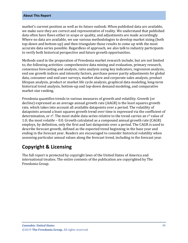market's current position as well as its future outlook: When published data are available, we make sure they are correct and representative of reality. We understand that published data often have flaws either in scope or quality, and adjustments are made accordingly. Where no data are available, we use various methodologies to develop market sizing (both top-down and bottom-up) and then triangulate those results to come up with the most accurate data series possible. Regardless of approach, we also talk to industry participants to verify both historical perspective and future growth opportunities.

Methods used in the preparation of Freedonia market research include, but are not limited to, the following activities: comprehensive data mining and evaluation, primary research, consensus forecasting and analysis, ratio analysis using key indicators, regression analysis, end use growth indices and intensity factors, purchase power parity adjustments for global data, consumer and end user surveys, market share and corporate sales analysis, product lifespan analysis, product or market life cycle analysis, graphical data modeling, long-term historical trend analysis, bottom-up and top-down demand modeling, and comparative market size ranking.

Freedonia quantifies trends in various measures of growth and volatility. Growth (or decline) expressed as an average annual growth rate (AAGR) is the least squares growth rate, which takes into account all available datapoints over a period. The volatility of datapoints around a least squares growth trend over time is expressed via the coefficient of determination, or  $r^2$ . The most stable data series relative to the trend carries an  $r^2$  value of 1.0; the most volatile – 0.0. Growth calculated as a compound annual growth rate (CAGR) employs, by definition, only the first and last datapoints over a period. The CAGR is used to describe forecast growth, defined as the expected trend beginning in the base year and ending in the forecast year. Readers are encouraged to consider historical volatility when assessing particular annual values along the forecast trend, including in the forecast year.

## **Copyright & Licensing**

The full report is protected by copyright laws of the United States of America and international treaties. The entire contents of the publication are copyrighted by The Freedonia Group.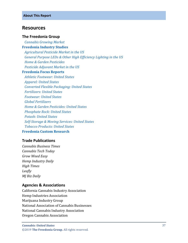## <span id="page-6-0"></span>**Resources**

#### **The Freedonia Group**

 *[Cannabis Growing Market](http://www.freedoniagroup.com/DocumentDetails.aspx?ReferrerId=FL-FOCUS&studyid=3749)* **[Freedonia Industry Studies](http://www.freedoniagroup.com/Home.aspx?ReferrerId=FL-Focus)**  *[Agricultural Pesticide Market in the US](http://www.freedoniagroup.com/DocumentDetails.aspx?ReferrerId=FL-FOCUS&studyid=3484) [General Purpose LEDs & Other High Efficiency Lighting in the US](http://www.freedoniagroup.com/DocumentDetails.aspx?ReferrerId=FL-FOCUS&studyid=3611) [Home & Garden Pesticides](http://www.freedoniagroup.com/DocumentDetails.aspx?ReferrerId=FL-FOCUS&studyid=3700) [Pesticide Adjuvant Market in the US](http://www.freedoniagroup.com/DocumentDetails.aspx?ReferrerId=FL-FOCUS&studyid=3504)* **[Freedonia Focus Reports](https://www.freedoniafocusreports.com/redirect.asp?progid=89534&url=/)**  *[Athletic Footwear: United States](https://www.freedoniafocusreports.com/Athletic-Footwear-United-States-FF90011/?progid=89534) [Apparel: United States](https://www.freedoniafocusreports.com/Apparel-United-States-FF15010/?progid=89534) [Converted Flexible Packaging: United States](https://www.freedoniafocusreports.com/Converted-Flexible-Packaging-United-States-FF30014/?progid=89534) [Fertilizers: United States](https://www.freedoniafocusreports.com/Fertilizers-United-States-FF35077/?progid=89534) [Footwear: United States](https://www.freedoniafocusreports.com/Footwear-United-States-FF50011/?progid=89534) [Global Fertilizers](https://www.freedoniafocusreports.com/Global-Fertilizers-FW35077/?progid=89534) [Home & Garden Pesticides: United States](https://www.freedoniafocusreports.com/Home-Garden-Pesticides-United-States-FF35063/?progid=89534) [Phosphate Rock: United States](https://www.freedoniafocusreports.com/Phosphate-Rock-United-States-FF65020/?progid=89534) [Potash: United States](https://www.freedoniafocusreports.com/Potash-United-States-FF65021/?progid=89534) [Self-Storage & Moving Services: United States](https://www.freedoniafocusreports.com/Self-Storage-Moving-Services-United-States-FF95030/?progid=89534) [Tobacco Products: United States](https://www.freedoniafocusreports.com/Tobacco-Products-United-States-FF10019/?progid=89534)* **[Freedonia Custom Research](http://www.freedoniagroup.com/CustomResearch.aspx?ReferrerId=FL-Focus)**

### **Trade Publications**

*Cannabis Business Times Cannabis Tech Today Grow Weed Easy Hemp Industry Daily High Times Leafly MJ Biz Daily*

#### **Agencies & Associations**

California Cannabis Industry Association Hemp Industries Association Marijuana Industry Group National Association of Cannabis Businesses National Cannabis Industry Association Oregon Cannabis Association